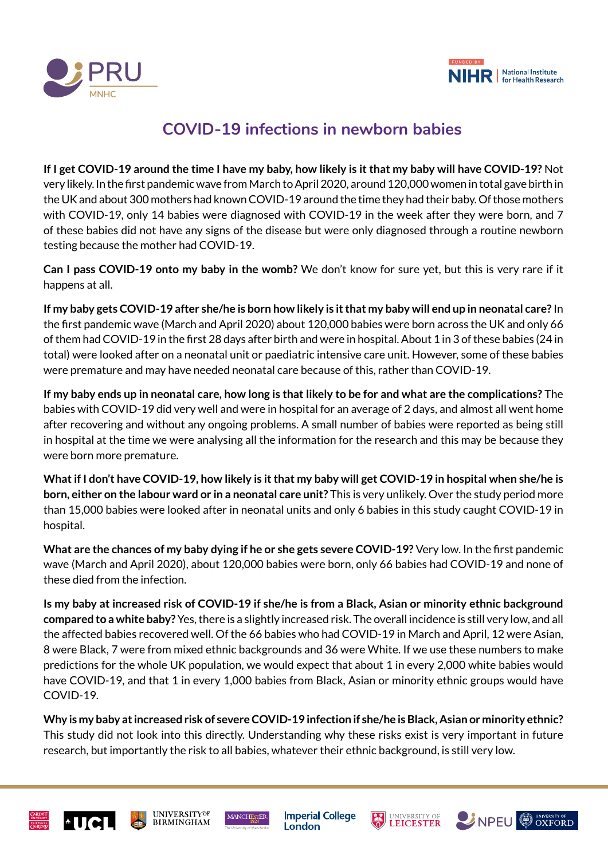



## **COVID-19 infections in newborn babies**

**If I get COVID-19 around the time I have my baby, how likely is it that my baby will have COVID-19?** Not very likely. In the first pandemic wave from March to April 2020, around 120,000 women in total gave birth in the UK and about 300 mothers had known COVID-19 around the time they had their baby. Of those mothers with COVID-19, only 14 babies were diagnosed with COVID-19 in the week after they were born, and 7 of these babies did not have any signs of the disease but were only diagnosed through a routine newborn testing because the mother had COVID-19.

**Can I pass COVID-19 onto my baby in the womb?** We don't know for sure yet, but this is very rare if it happens at all.

**If my baby gets COVID-19 after she/he is born how likely is it that my baby will end up in neonatal care?** In the first pandemic wave (March and April 2020) about 120,000 babies were born across the UK and only 66 of them had COVID-19 in the first 28 days after birth and were in hospital. About 1 in 3 of these babies (24 in total) were looked after on a neonatal unit or paediatric intensive care unit. However, some of these babies were premature and may have needed neonatal care because of this, rather than COVID-19.

**If my baby ends up in neonatal care, how long is that likely to be for and what are the complications?** The babies with COVID-19 did very well and were in hospital for an average of 2 days, and almost all went home after recovering and without any ongoing problems. A small number of babies were reported as being still in hospital at the time we were analysing all the information for the research and this may be because they were born more premature.

**What if I don't have COVID-19, how likely is it that my baby will get COVID-19 in hospital when she/he is born, either on the labour ward or in a neonatal care unit?** This is very unlikely. Over the study period more than 15,000 babies were looked after in neonatal units and only 6 babies in this study caught COVID-19 in hospital.

**What are the chances of my baby dying if he or she gets severe COVID-19?** Very low. In the first pandemic wave (March and April 2020), about 120,000 babies were born, only 66 babies had COVID-19 and none of these died from the infection.

**Is my baby at increased risk of COVID-19 if she/he is from a Black, Asian or minority ethnic background compared to a white baby?** Yes, there is a slightly increased risk. The overall incidence is still very low, and all the affected babies recovered well. Of the 66 babies who had COVID-19 in March and April, 12 were Asian, 8 were Black, 7 were from mixed ethnic backgrounds and 36 were White. If we use these numbers to make predictions for the whole UK population, we would expect that about 1 in every 2,000 white babies would have COVID-19, and that 1 in every 1,000 babies from Black, Asian or minority ethnic groups would have COVID-19.

**Why is my baby at increased risk of severe COVID-19 infection if she/he is Black, Asian or minority ethnic?** This study did not look into this directly. Understanding why these risks exist is very important in future research, but importantly the risk to all babies, whatever their ethnic background, is still very low.







**Imperial College** London